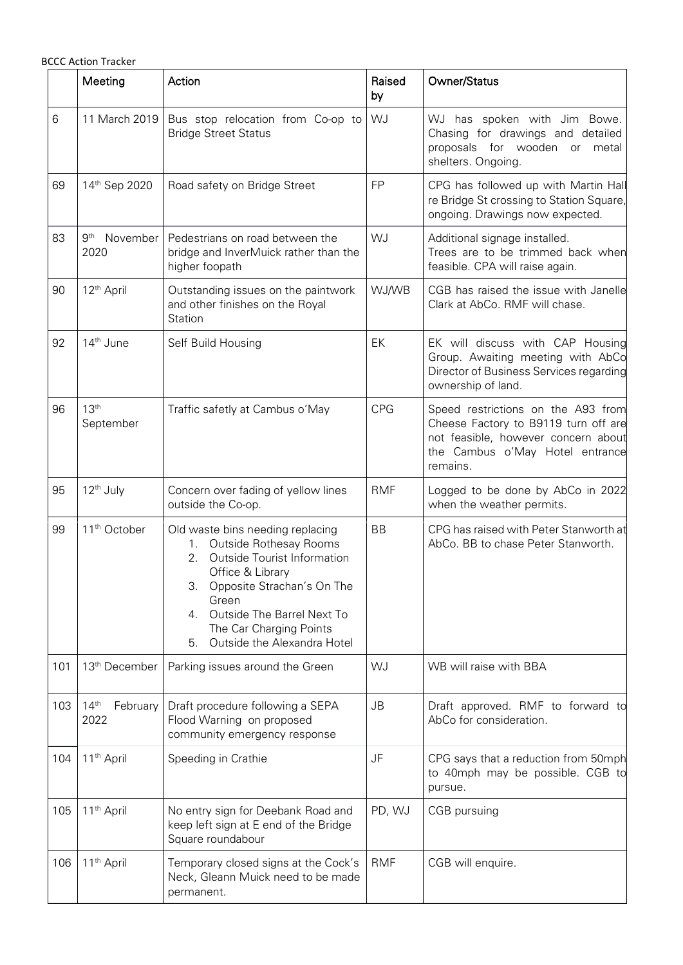|     | <b>BCCC Action Tracker</b>           |                                                                                                                                                                                                                                                                         |              |                                                                                                                                                                  |
|-----|--------------------------------------|-------------------------------------------------------------------------------------------------------------------------------------------------------------------------------------------------------------------------------------------------------------------------|--------------|------------------------------------------------------------------------------------------------------------------------------------------------------------------|
|     | Meeting                              | Action                                                                                                                                                                                                                                                                  | Raised<br>by | Owner/Status                                                                                                                                                     |
| 6   | 11 March 2019                        | Bus stop relocation from Co-op to<br><b>Bridge Street Status</b>                                                                                                                                                                                                        | WJ           | WJ has spoken with Jim Bowe.<br>Chasing for drawings and detailed<br>proposals for wooden or metal<br>shelters. Ongoing.                                         |
| 69  | 14th Sep 2020                        | Road safety on Bridge Street                                                                                                                                                                                                                                            | <b>FP</b>    | CPG has followed up with Martin Hall<br>re Bridge St crossing to Station Square,<br>ongoing. Drawings now expected.                                              |
| 83  | 9 <sup>th</sup><br>November<br>2020  | Pedestrians on road between the<br>bridge and InverMuick rather than the<br>higher foopath                                                                                                                                                                              | WJ           | Additional signage installed.<br>Trees are to be trimmed back when<br>feasible. CPA will raise again.                                                            |
| 90  | 12 <sup>th</sup> April               | Outstanding issues on the paintwork<br>and other finishes on the Royal<br>Station                                                                                                                                                                                       | WJ/WB        | CGB has raised the issue with Janelle<br>Clark at AbCo. RMF will chase.                                                                                          |
| 92  | 14 <sup>th</sup> June                | Self Build Housing                                                                                                                                                                                                                                                      | EK           | EK will discuss with CAP Housing<br>Group. Awaiting meeting with AbCo<br>Director of Business Services regarding<br>ownership of land.                           |
| 96  | 13 <sup>th</sup><br>September        | Traffic safetly at Cambus o'May                                                                                                                                                                                                                                         | <b>CPG</b>   | Speed restrictions on the A93 from<br>Cheese Factory to B9119 turn off are<br>not feasible, however concern about<br>the Cambus o'May Hotel entrance<br>remains. |
| 95  | 12 <sup>th</sup> July                | Concern over fading of yellow lines<br>outside the Co-op.                                                                                                                                                                                                               | <b>RMF</b>   | Logged to be done by AbCo in 2022<br>when the weather permits.                                                                                                   |
| 99  | 11 <sup>th</sup> October             | Old waste bins needing replacing<br>1. Outside Rothesay Rooms<br>Outside Tourist Information<br>2.<br>Office & Library<br>Opposite Strachan's On The<br>3.<br>Green<br>Outside The Barrel Next To<br>4.<br>The Car Charging Points<br>Outside the Alexandra Hotel<br>5. | <b>BB</b>    | CPG has raised with Peter Stanworth at<br>AbCo. BB to chase Peter Stanworth.                                                                                     |
| 101 | 13 <sup>th</sup> December            | Parking issues around the Green                                                                                                                                                                                                                                         | WJ           | WB will raise with BBA                                                                                                                                           |
| 103 | 14 <sup>th</sup><br>February<br>2022 | Draft procedure following a SEPA<br>Flood Warning on proposed<br>community emergency response                                                                                                                                                                           | <b>JB</b>    | Draft approved. RMF to forward to<br>AbCo for consideration.                                                                                                     |
| 104 | 11 <sup>th</sup> April               | Speeding in Crathie                                                                                                                                                                                                                                                     | JF           | CPG says that a reduction from 50mph<br>to 40mph may be possible. CGB to<br>pursue.                                                                              |
| 105 | 11 <sup>th</sup> April               | No entry sign for Deebank Road and<br>keep left sign at E end of the Bridge<br>Square roundabour                                                                                                                                                                        | PD, WJ       | CGB pursuing                                                                                                                                                     |
| 106 | 11 <sup>th</sup> April               | Temporary closed signs at the Cock's<br>Neck, Gleann Muick need to be made<br>permanent.                                                                                                                                                                                | <b>RMF</b>   | CGB will enquire.                                                                                                                                                |